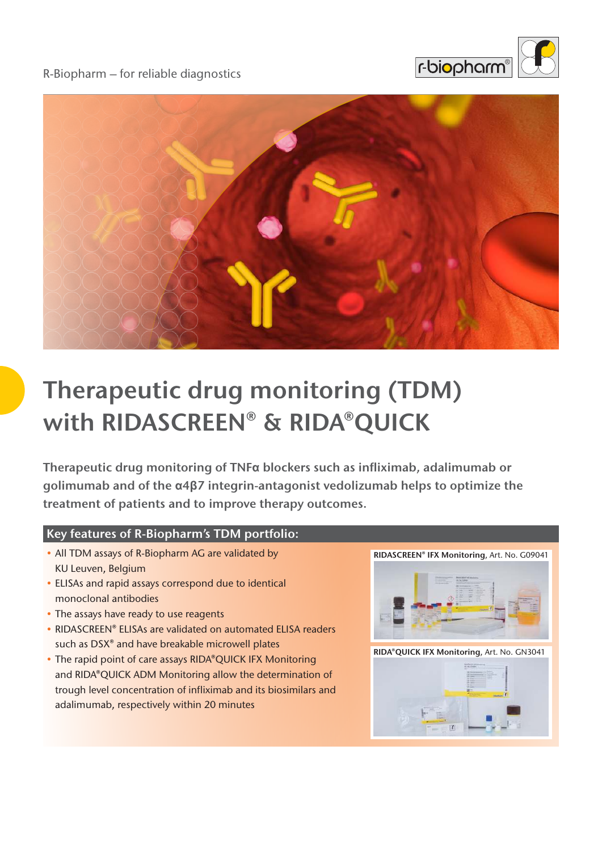

### R-Biopharm – for reliable diagnostics



# **Therapeutic drug monitoring (TDM) with RIDASCREEN® & RIDA®QUICK**

**Therapeutic drug monitoring of TNFα blockers such as infliximab, adalimumab or golimumab and of the α4β7 integrin-antagonist vedolizumab helps to optimize the treatment of patients and to improve therapy outcomes.** 

### **Key features of R-Biopharm's TDM portfolio:**

- All TDM assays of R-Biopharm AG are validated by KU Leuven, Belgium
- ELISAs and rapid assays correspond due to identical monoclonal antibodies
- The assays have ready to use reagents
- RIDASCREEN® ELISAs are validated on automated ELISA readers such as DSX<sup>®</sup> and have breakable microwell plates
- The rapid point of care assays RIDA®QUICK IFX Monitoring and RIDA®QUICK ADM Monitoring allow the determination of trough level concentration of infliximab and its biosimilars and adalimumab, respectively within 20 minutes





**RIDA®QUICK IFX Monitoring**, Art. No. GN3041